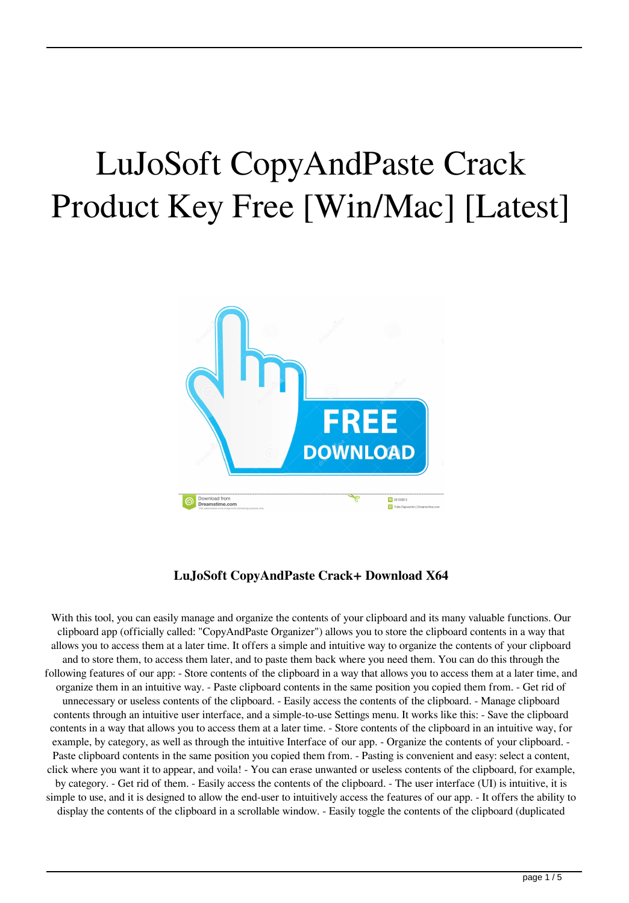# LuJoSoft CopyAndPaste Crack Product Key Free [Win/Mac] [Latest]



## **LuJoSoft CopyAndPaste Crack+ Download X64**

With this tool, you can easily manage and organize the contents of your clipboard and its many valuable functions. Our clipboard app (officially called: "CopyAndPaste Organizer") allows you to store the clipboard contents in a way that allows you to access them at a later time. It offers a simple and intuitive way to organize the contents of your clipboard and to store them, to access them later, and to paste them back where you need them. You can do this through the following features of our app: - Store contents of the clipboard in a way that allows you to access them at a later time, and organize them in an intuitive way. - Paste clipboard contents in the same position you copied them from. - Get rid of unnecessary or useless contents of the clipboard. - Easily access the contents of the clipboard. - Manage clipboard contents through an intuitive user interface, and a simple-to-use Settings menu. It works like this: - Save the clipboard contents in a way that allows you to access them at a later time. - Store contents of the clipboard in an intuitive way, for example, by category, as well as through the intuitive Interface of our app. - Organize the contents of your clipboard. - Paste clipboard contents in the same position you copied them from. - Pasting is convenient and easy: select a content, click where you want it to appear, and voila! - You can erase unwanted or useless contents of the clipboard, for example, by category. - Get rid of them. - Easily access the contents of the clipboard. - The user interface (UI) is intuitive, it is simple to use, and it is designed to allow the end-user to intuitively access the features of our app. - It offers the ability to display the contents of the clipboard in a scrollable window. - Easily toggle the contents of the clipboard (duplicated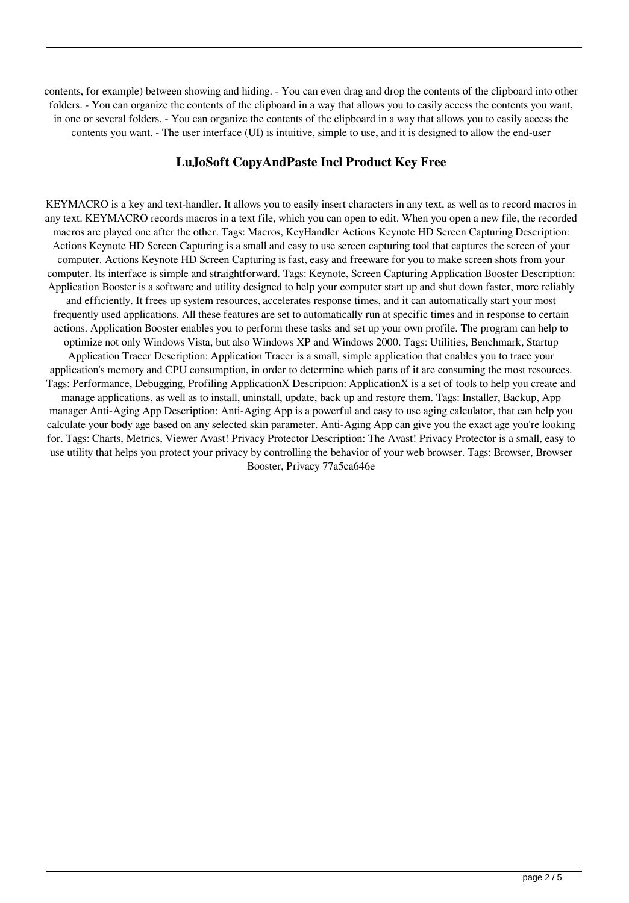contents, for example) between showing and hiding. - You can even drag and drop the contents of the clipboard into other folders. - You can organize the contents of the clipboard in a way that allows you to easily access the contents you want, in one or several folders. - You can organize the contents of the clipboard in a way that allows you to easily access the contents you want. - The user interface (UI) is intuitive, simple to use, and it is designed to allow the end-user

#### **LuJoSoft CopyAndPaste Incl Product Key Free**

KEYMACRO is a key and text-handler. It allows you to easily insert characters in any text, as well as to record macros in any text. KEYMACRO records macros in a text file, which you can open to edit. When you open a new file, the recorded macros are played one after the other. Tags: Macros, KeyHandler Actions Keynote HD Screen Capturing Description: Actions Keynote HD Screen Capturing is a small and easy to use screen capturing tool that captures the screen of your computer. Actions Keynote HD Screen Capturing is fast, easy and freeware for you to make screen shots from your computer. Its interface is simple and straightforward. Tags: Keynote, Screen Capturing Application Booster Description: Application Booster is a software and utility designed to help your computer start up and shut down faster, more reliably and efficiently. It frees up system resources, accelerates response times, and it can automatically start your most frequently used applications. All these features are set to automatically run at specific times and in response to certain actions. Application Booster enables you to perform these tasks and set up your own profile. The program can help to optimize not only Windows Vista, but also Windows XP and Windows 2000. Tags: Utilities, Benchmark, Startup Application Tracer Description: Application Tracer is a small, simple application that enables you to trace your application's memory and CPU consumption, in order to determine which parts of it are consuming the most resources. Tags: Performance, Debugging, Profiling ApplicationX Description: ApplicationX is a set of tools to help you create and manage applications, as well as to install, uninstall, update, back up and restore them. Tags: Installer, Backup, App manager Anti-Aging App Description: Anti-Aging App is a powerful and easy to use aging calculator, that can help you calculate your body age based on any selected skin parameter. Anti-Aging App can give you the exact age you're looking for. Tags: Charts, Metrics, Viewer Avast! Privacy Protector Description: The Avast! Privacy Protector is a small, easy to use utility that helps you protect your privacy by controlling the behavior of your web browser. Tags: Browser, Browser Booster, Privacy 77a5ca646e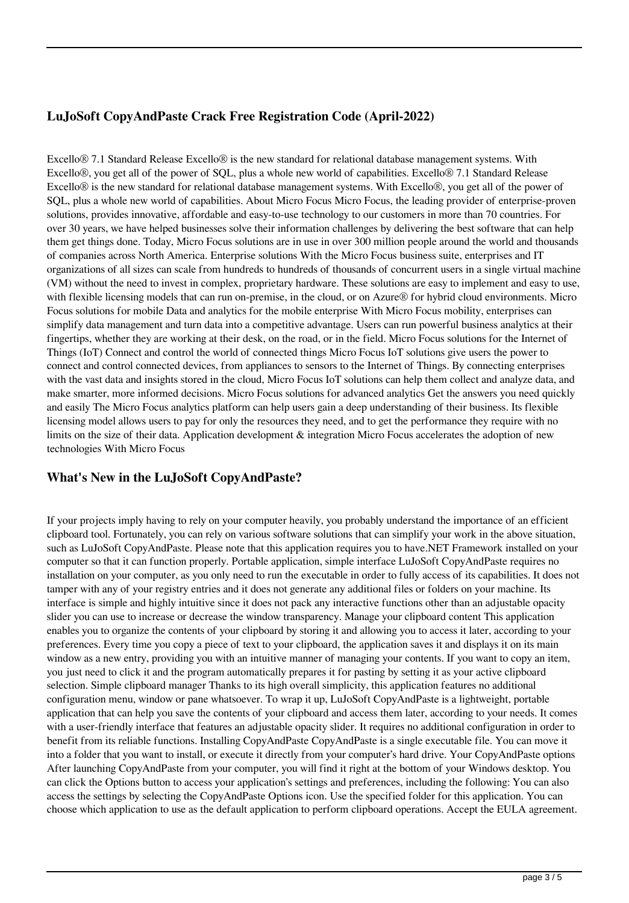## **LuJoSoft CopyAndPaste Crack Free Registration Code (April-2022)**

Excello® 7.1 Standard Release Excello® is the new standard for relational database management systems. With Excello®, you get all of the power of SQL, plus a whole new world of capabilities. Excello® 7.1 Standard Release Excello® is the new standard for relational database management systems. With Excello®, you get all of the power of SQL, plus a whole new world of capabilities. About Micro Focus Micro Focus, the leading provider of enterprise-proven solutions, provides innovative, affordable and easy-to-use technology to our customers in more than 70 countries. For over 30 years, we have helped businesses solve their information challenges by delivering the best software that can help them get things done. Today, Micro Focus solutions are in use in over 300 million people around the world and thousands of companies across North America. Enterprise solutions With the Micro Focus business suite, enterprises and IT organizations of all sizes can scale from hundreds to hundreds of thousands of concurrent users in a single virtual machine (VM) without the need to invest in complex, proprietary hardware. These solutions are easy to implement and easy to use, with flexible licensing models that can run on-premise, in the cloud, or on Azure® for hybrid cloud environments. Micro Focus solutions for mobile Data and analytics for the mobile enterprise With Micro Focus mobility, enterprises can simplify data management and turn data into a competitive advantage. Users can run powerful business analytics at their fingertips, whether they are working at their desk, on the road, or in the field. Micro Focus solutions for the Internet of Things (IoT) Connect and control the world of connected things Micro Focus IoT solutions give users the power to connect and control connected devices, from appliances to sensors to the Internet of Things. By connecting enterprises with the vast data and insights stored in the cloud, Micro Focus IoT solutions can help them collect and analyze data, and make smarter, more informed decisions. Micro Focus solutions for advanced analytics Get the answers you need quickly and easily The Micro Focus analytics platform can help users gain a deep understanding of their business. Its flexible licensing model allows users to pay for only the resources they need, and to get the performance they require with no limits on the size of their data. Application development & integration Micro Focus accelerates the adoption of new technologies With Micro Focus

#### **What's New in the LuJoSoft CopyAndPaste?**

If your projects imply having to rely on your computer heavily, you probably understand the importance of an efficient clipboard tool. Fortunately, you can rely on various software solutions that can simplify your work in the above situation, such as LuJoSoft CopyAndPaste. Please note that this application requires you to have.NET Framework installed on your computer so that it can function properly. Portable application, simple interface LuJoSoft CopyAndPaste requires no installation on your computer, as you only need to run the executable in order to fully access of its capabilities. It does not tamper with any of your registry entries and it does not generate any additional files or folders on your machine. Its interface is simple and highly intuitive since it does not pack any interactive functions other than an adjustable opacity slider you can use to increase or decrease the window transparency. Manage your clipboard content This application enables you to organize the contents of your clipboard by storing it and allowing you to access it later, according to your preferences. Every time you copy a piece of text to your clipboard, the application saves it and displays it on its main window as a new entry, providing you with an intuitive manner of managing your contents. If you want to copy an item, you just need to click it and the program automatically prepares it for pasting by setting it as your active clipboard selection. Simple clipboard manager Thanks to its high overall simplicity, this application features no additional configuration menu, window or pane whatsoever. To wrap it up, LuJoSoft CopyAndPaste is a lightweight, portable application that can help you save the contents of your clipboard and access them later, according to your needs. It comes with a user-friendly interface that features an adjustable opacity slider. It requires no additional configuration in order to benefit from its reliable functions. Installing CopyAndPaste CopyAndPaste is a single executable file. You can move it into a folder that you want to install, or execute it directly from your computer's hard drive. Your CopyAndPaste options After launching CopyAndPaste from your computer, you will find it right at the bottom of your Windows desktop. You can click the Options button to access your application's settings and preferences, including the following: You can also access the settings by selecting the CopyAndPaste Options icon. Use the specified folder for this application. You can choose which application to use as the default application to perform clipboard operations. Accept the EULA agreement.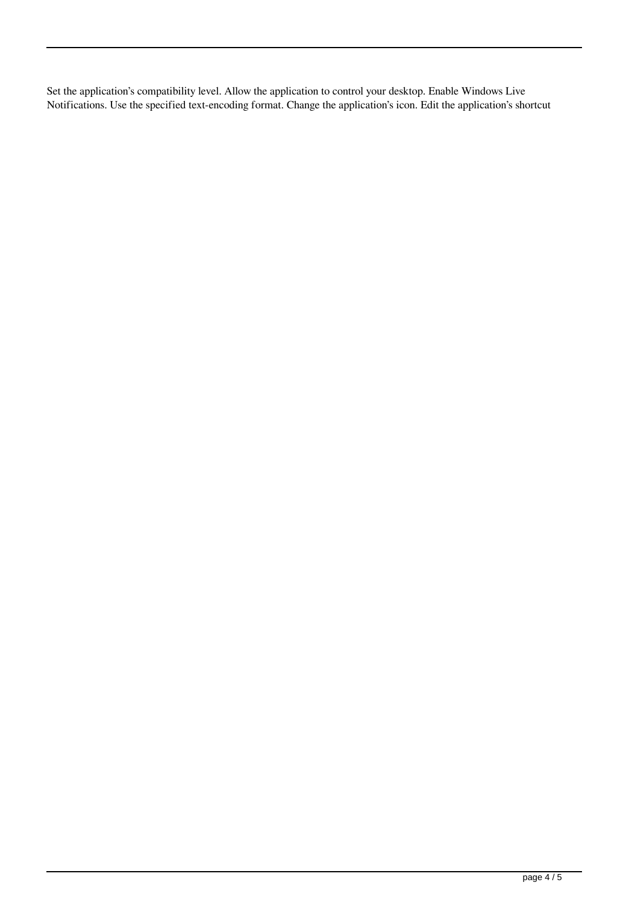Set the application's compatibility level. Allow the application to control your desktop. Enable Windows Live Notifications. Use the specified text-encoding format. Change the application's icon. Edit the application's shortcut